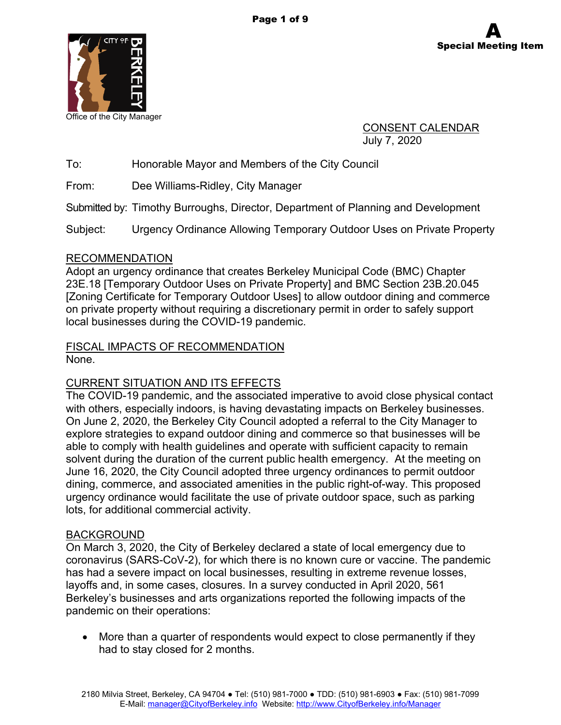



CONSENT CALENDAR July 7, 2020

To: Honorable Mayor and Members of the City Council

From: Dee Williams-Ridley, City Manager

Submitted by: Timothy Burroughs, Director, Department of Planning and Development

Subject: Urgency Ordinance Allowing Temporary Outdoor Uses on Private Property

#### RECOMMENDATION

Adopt an urgency ordinance that creates Berkeley Municipal Code (BMC) Chapter 23E.18 [Temporary Outdoor Uses on Private Property] and BMC Section 23B.20.045 [Zoning Certificate for Temporary Outdoor Uses] to allow outdoor dining and commerce on private property without requiring a discretionary permit in order to safely support local businesses during the COVID-19 pandemic.

#### FISCAL IMPACTS OF RECOMMENDATION None.

### CURRENT SITUATION AND ITS EFFECTS

The COVID-19 pandemic, and the associated imperative to avoid close physical contact with others, especially indoors, is having devastating impacts on Berkeley businesses. On June 2, 2020, the Berkeley City Council adopted a referral to the City Manager to explore strategies to expand outdoor dining and commerce so that businesses will be able to comply with health guidelines and operate with sufficient capacity to remain solvent during the duration of the current public health emergency. At the meeting on June 16, 2020, the City Council adopted three urgency ordinances to permit outdoor dining, commerce, and associated amenities in the public right-of-way. This proposed urgency ordinance would facilitate the use of private outdoor space, such as parking lots, for additional commercial activity.

### BACKGROUND

On March 3, 2020, the City of Berkeley declared a state of local emergency due to coronavirus (SARS-CoV-2), for which there is no known cure or vaccine. The pandemic has had a severe impact on local businesses, resulting in extreme revenue losses, layoffs and, in some cases, closures. In a survey conducted in April 2020, 561 Berkeley's businesses and arts organizations reported the following impacts of the pandemic on their operations:

 More than a quarter of respondents would expect to close permanently if they had to stay closed for 2 months.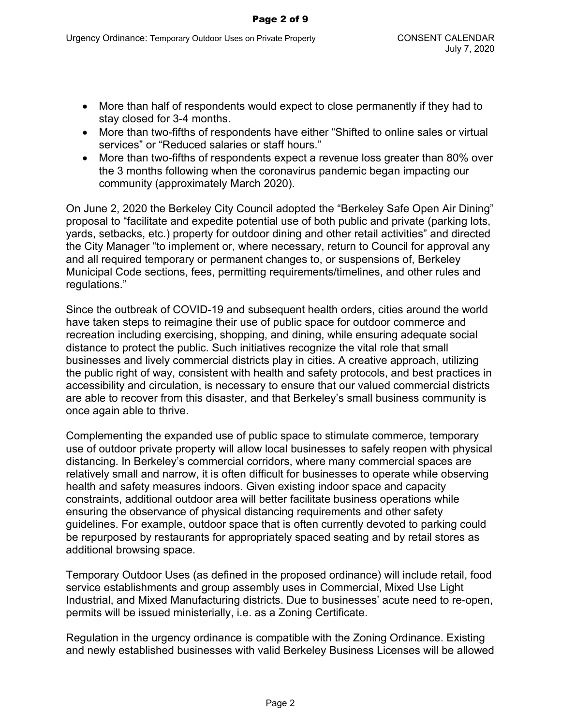- More than half of respondents would expect to close permanently if they had to stay closed for 3-4 months.
- More than two-fifths of respondents have either "Shifted to online sales or virtual services" or "Reduced salaries or staff hours."
- More than two-fifths of respondents expect a revenue loss greater than 80% over the 3 months following when the coronavirus pandemic began impacting our community (approximately March 2020).

On June 2, 2020 the Berkeley City Council adopted the "Berkeley Safe Open Air Dining" proposal to "facilitate and expedite potential use of both public and private (parking lots, yards, setbacks, etc.) property for outdoor dining and other retail activities" and directed the City Manager "to implement or, where necessary, return to Council for approval any and all required temporary or permanent changes to, or suspensions of, Berkeley Municipal Code sections, fees, permitting requirements/timelines, and other rules and regulations."

Since the outbreak of COVID-19 and subsequent health orders, cities around the world have taken steps to reimagine their use of public space for outdoor commerce and recreation including exercising, shopping, and dining, while ensuring adequate social distance to protect the public. Such initiatives recognize the vital role that small businesses and lively commercial districts play in cities. A creative approach, utilizing the public right of way, consistent with health and safety protocols, and best practices in accessibility and circulation, is necessary to ensure that our valued commercial districts are able to recover from this disaster, and that Berkeley's small business community is once again able to thrive.

Complementing the expanded use of public space to stimulate commerce, temporary use of outdoor private property will allow local businesses to safely reopen with physical distancing. In Berkeley's commercial corridors, where many commercial spaces are relatively small and narrow, it is often difficult for businesses to operate while observing health and safety measures indoors. Given existing indoor space and capacity constraints, additional outdoor area will better facilitate business operations while ensuring the observance of physical distancing requirements and other safety guidelines. For example, outdoor space that is often currently devoted to parking could be repurposed by restaurants for appropriately spaced seating and by retail stores as additional browsing space.

Temporary Outdoor Uses (as defined in the proposed ordinance) will include retail, food service establishments and group assembly uses in Commercial, Mixed Use Light Industrial, and Mixed Manufacturing districts. Due to businesses' acute need to re-open, permits will be issued ministerially, i.e. as a Zoning Certificate.

Regulation in the urgency ordinance is compatible with the Zoning Ordinance. Existing and newly established businesses with valid Berkeley Business Licenses will be allowed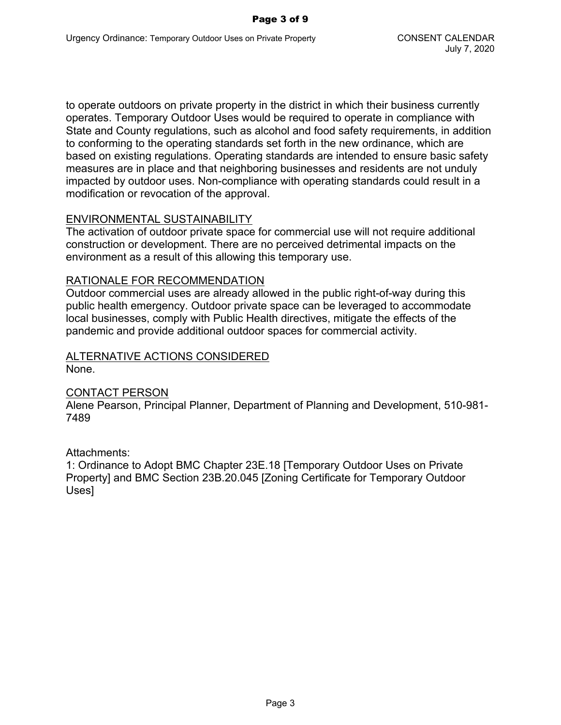to operate outdoors on private property in the district in which their business currently operates. Temporary Outdoor Uses would be required to operate in compliance with State and County regulations, such as alcohol and food safety requirements, in addition to conforming to the operating standards set forth in the new ordinance, which are based on existing regulations. Operating standards are intended to ensure basic safety measures are in place and that neighboring businesses and residents are not unduly impacted by outdoor uses. Non-compliance with operating standards could result in a modification or revocation of the approval.

#### ENVIRONMENTAL SUSTAINABILITY

The activation of outdoor private space for commercial use will not require additional construction or development. There are no perceived detrimental impacts on the environment as a result of this allowing this temporary use.

#### RATIONALE FOR RECOMMENDATION

Outdoor commercial uses are already allowed in the public right-of-way during this public health emergency. Outdoor private space can be leveraged to accommodate local businesses, comply with Public Health directives, mitigate the effects of the pandemic and provide additional outdoor spaces for commercial activity.

## ALTERNATIVE ACTIONS CONSIDERED

None.

### CONTACT PERSON

Alene Pearson, Principal Planner, Department of Planning and Development, 510-981- 7489

Attachments:

1: Ordinance to Adopt BMC Chapter 23E.18 [Temporary Outdoor Uses on Private Property] and BMC Section 23B.20.045 [Zoning Certificate for Temporary Outdoor Uses]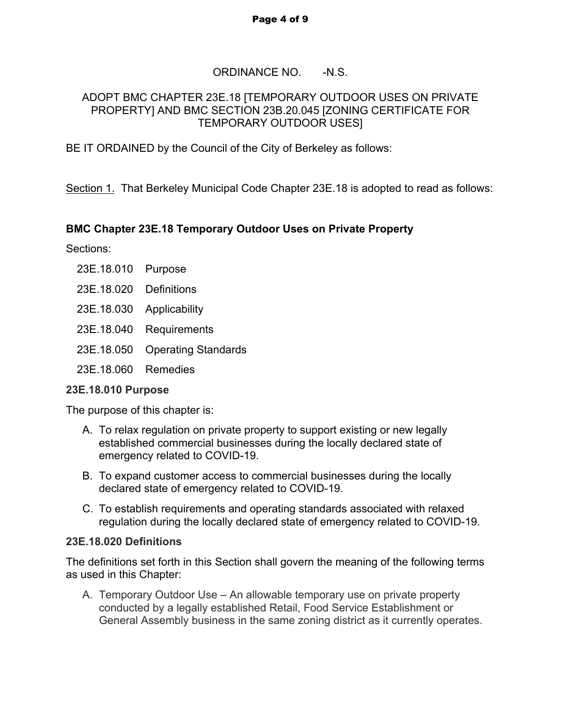#### Page 4 of 9

# ORDINANCE NO. -N.S.

### ADOPT BMC CHAPTER 23E.18 [TEMPORARY OUTDOOR USES ON PRIVATE PROPERTY] AND BMC SECTION 23B.20.045 [ZONING CERTIFICATE FOR TEMPORARY OUTDOOR USES]

BE IT ORDAINED by the Council of the City of Berkeley as follows:

Section 1. That Berkeley Municipal Code Chapter 23E.18 is adopted to read as follows:

# **BMC Chapter 23E.18 Temporary Outdoor Uses on Private Property**

Sections:

- 23E.18.010 Purpose
- 23E.18.020 Definitions
- 23E.18.030 Applicability
- 23E.18.040 Requirements
- 23E.18.050 Operating Standards
- 23E.18.060 Remedies

### **23E.18.010 Purpose**

The purpose of this chapter is:

- A. To relax regulation on private property to support existing or new legally established commercial businesses during the locally declared state of emergency related to COVID-19.
- B. To expand customer access to commercial businesses during the locally declared state of emergency related to COVID-19.
- C. To establish requirements and operating standards associated with relaxed regulation during the locally declared state of emergency related to COVID-19.

### **23E.18.020 Definitions**

The definitions set forth in this Section shall govern the meaning of the following terms as used in this Chapter:

A. Temporary Outdoor Use – An allowable temporary use on private property conducted by a legally established Retail, Food Service Establishment or General Assembly business in the same zoning district as it currently operates.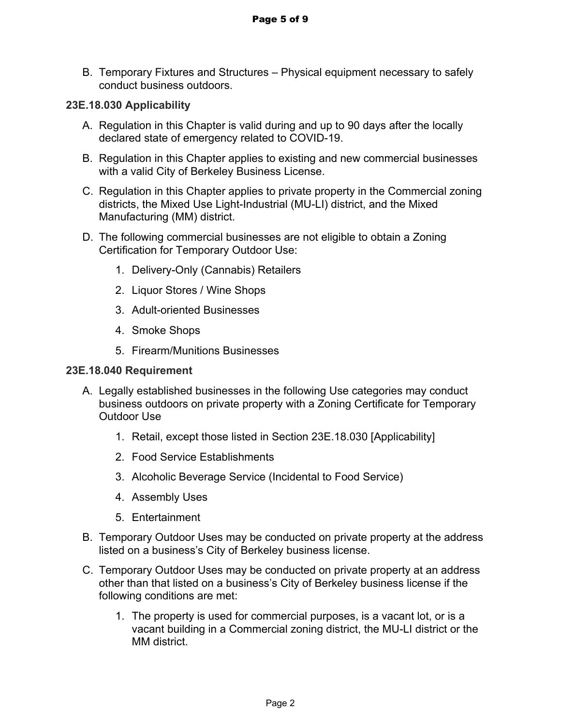B. Temporary Fixtures and Structures – Physical equipment necessary to safely conduct business outdoors.

## **23E.18.030 Applicability**

- A. Regulation in this Chapter is valid during and up to 90 days after the locally declared state of emergency related to COVID-19.
- B. Regulation in this Chapter applies to existing and new commercial businesses with a valid City of Berkeley Business License.
- C. Regulation in this Chapter applies to private property in the Commercial zoning districts, the Mixed Use Light-Industrial (MU-LI) district, and the Mixed Manufacturing (MM) district.
- D. The following commercial businesses are not eligible to obtain a Zoning Certification for Temporary Outdoor Use:
	- 1. Delivery-Only (Cannabis) Retailers
	- 2. Liquor Stores / Wine Shops
	- 3. Adult-oriented Businesses
	- 4. Smoke Shops
	- 5. Firearm/Munitions Businesses

### **23E.18.040 Requirement**

- A. Legally established businesses in the following Use categories may conduct business outdoors on private property with a Zoning Certificate for Temporary Outdoor Use
	- 1. Retail, except those listed in Section 23E.18.030 [Applicability]
	- 2. Food Service Establishments
	- 3. Alcoholic Beverage Service (Incidental to Food Service)
	- 4. Assembly Uses
	- 5. Entertainment
- B. Temporary Outdoor Uses may be conducted on private property at the address listed on a business's City of Berkeley business license.
- C. Temporary Outdoor Uses may be conducted on private property at an address other than that listed on a business's City of Berkeley business license if the following conditions are met:
	- 1. The property is used for commercial purposes, is a vacant lot, or is a vacant building in a Commercial zoning district, the MU-LI district or the MM district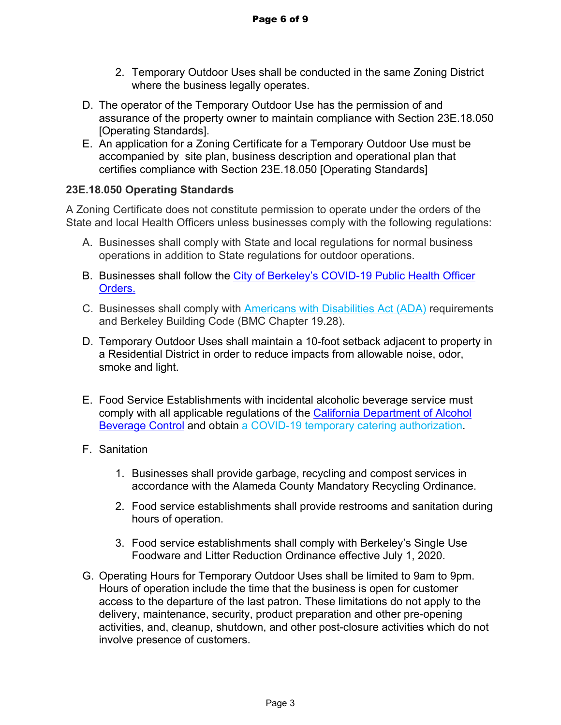- 2. Temporary Outdoor Uses shall be conducted in the same Zoning District where the business legally operates.
- D. The operator of the Temporary Outdoor Use has the permission of and assurance of the property owner to maintain compliance with Section 23E.18.050 [Operating Standards].
- E. An application for a Zoning Certificate for a Temporary Outdoor Use must be accompanied by site plan, business description and operational plan that certifies compliance with Section 23E.18.050 [Operating Standards]

# **23E.18.050 Operating Standards**

A Zoning Certificate does not constitute permission to operate under the orders of the State and local Health Officers unless businesses comply with the following regulations:

- A. Businesses shall comply with State and local regulations for normal business operations in addition to State regulations for outdoor operations.
- B. Businesses shall follow the [City of Berkeley's COVID-19 Public Health Officer](https://www.cityofberkeley.info/covid19-health-orders/)  [Orders.](https://www.cityofberkeley.info/covid19-health-orders/)
- C. Businesses shall comply with Americans with Disabilities Act (ADA) requirements and Berkeley Building Code (BMC Chapter 19.28).
- D. Temporary Outdoor Uses shall maintain a 10-foot setback adjacent to property in a Residential District in order to reduce impacts from allowable noise, odor, smoke and light.
- E. Food Service Establishments with incidental alcoholic beverage service must comply with all applicable regulations of the [California Department of Alcohol](https://www.abc.ca.gov/abc-218-cv19-instructions/)  [Beverage Control](https://www.abc.ca.gov/abc-218-cv19-instructions/) and obtain [a COVID-19 temporary catering authorization.](https://www.abc.ca.gov/wp-content/uploads/forms/ABC218CV19.pdf)
- F. Sanitation
	- 1. Businesses shall provide garbage, recycling and compost services in accordance with the Alameda County Mandatory Recycling Ordinance.
	- 2. Food service establishments shall provide restrooms and sanitation during hours of operation.
	- 3. Food service establishments shall comply with Berkeley's Single Use Foodware and Litter Reduction Ordinance effective July 1, 2020.
- G. Operating Hours for Temporary Outdoor Uses shall be limited to 9am to 9pm. Hours of operation include the time that the business is open for customer access to the departure of the last patron. These limitations do not apply to the delivery, maintenance, security, product preparation and other pre-opening activities, and, cleanup, shutdown, and other post-closure activities which do not involve presence of customers.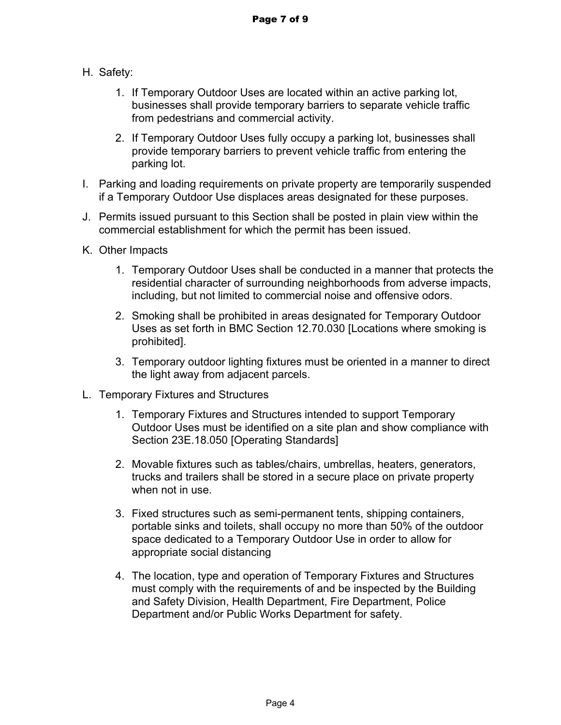- H. Safety:
	- 1. If Temporary Outdoor Uses are located within an active parking lot, businesses shall provide temporary barriers to separate vehicle traffic from pedestrians and commercial activity.
	- 2. If Temporary Outdoor Uses fully occupy a parking lot, businesses shall provide temporary barriers to prevent vehicle traffic from entering the parking lot.
- I. Parking and loading requirements on private property are temporarily suspended if a Temporary Outdoor Use displaces areas designated for these purposes.
- J. Permits issued pursuant to this Section shall be posted in plain view within the commercial establishment for which the permit has been issued.
- K. Other Impacts
	- 1. Temporary Outdoor Uses shall be conducted in a manner that protects the residential character of surrounding neighborhoods from adverse impacts, including, but not limited to commercial noise and offensive odors.
	- 2. Smoking shall be prohibited in areas designated for Temporary Outdoor Uses as set forth in BMC Section 12.70.030 [Locations where smoking is prohibited].
	- 3. Temporary outdoor lighting fixtures must be oriented in a manner to direct the light away from adjacent parcels.
- L. Temporary Fixtures and Structures
	- 1. Temporary Fixtures and Structures intended to support Temporary Outdoor Uses must be identified on a site plan and show compliance with Section 23E.18.050 [Operating Standards]
	- 2. Movable fixtures such as tables/chairs, umbrellas, heaters, generators, trucks and trailers shall be stored in a secure place on private property when not in use.
	- 3. Fixed structures such as semi-permanent tents, shipping containers, portable sinks and toilets, shall occupy no more than 50% of the outdoor space dedicated to a Temporary Outdoor Use in order to allow for appropriate social distancing
	- 4. The location, type and operation of Temporary Fixtures and Structures must comply with the requirements of and be inspected by the Building and Safety Division, Health Department, Fire Department, Police Department and/or Public Works Department for safety.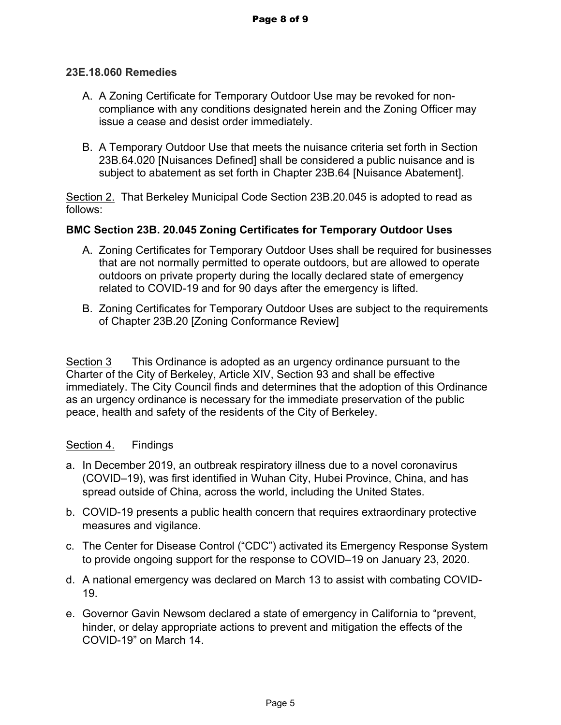### **23E.18.060 Remedies**

- A. A Zoning Certificate for Temporary Outdoor Use may be revoked for noncompliance with any conditions designated herein and the Zoning Officer may issue a cease and desist order immediately.
- B. A Temporary Outdoor Use that meets the nuisance criteria set forth in Section 23B.64.020 [Nuisances Defined] shall be considered a public nuisance and is subject to abatement as set forth in Chapter 23B.64 [Nuisance Abatement].

Section 2. That Berkeley Municipal Code Section 23B.20.045 is adopted to read as follows:

### **BMC Section 23B. 20.045 Zoning Certificates for Temporary Outdoor Uses**

- A. Zoning Certificates for Temporary Outdoor Uses shall be required for businesses that are not normally permitted to operate outdoors, but are allowed to operate outdoors on private property during the locally declared state of emergency related to COVID-19 and for 90 days after the emergency is lifted.
- B. Zoning Certificates for Temporary Outdoor Uses are subject to the requirements of Chapter 23B.20 [Zoning Conformance Review]

Section 3 This Ordinance is adopted as an urgency ordinance pursuant to the Charter of the City of Berkeley, Article XIV, Section 93 and shall be effective immediately. The City Council finds and determines that the adoption of this Ordinance as an urgency ordinance is necessary for the immediate preservation of the public peace, health and safety of the residents of the City of Berkeley.

### Section 4. Findings

- a. In December 2019, an outbreak respiratory illness due to a novel coronavirus (COVID–19), was first identified in Wuhan City, Hubei Province, China, and has spread outside of China, across the world, including the United States.
- b. COVID-19 presents a public health concern that requires extraordinary protective measures and vigilance.
- c. The Center for Disease Control ("CDC") activated its Emergency Response System to provide ongoing support for the response to COVID–19 on January 23, 2020.
- d. A national emergency was declared on March 13 to assist with combating COVID-19.
- e. Governor Gavin Newsom declared a state of emergency in California to "prevent, hinder, or delay appropriate actions to prevent and mitigation the effects of the COVID-19" on March 14.